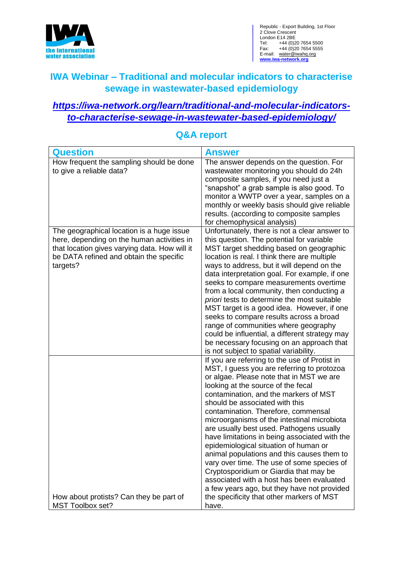

Republic - Export Building, 1st Floor 2 Clove Crescent London E14 2BE Tel: +44 (0)20 7654 5500 Fax: +44 (0)20 7654 5555 E-mail: water@iwahq.org **[www.iwa-network.org](http://www.iwa-network.org/)**

# **IWA Webinar – Traditional and molecular indicators to characterise sewage in wastewater-based epidemiology**

### *[https://iwa-network.org/learn/traditional-and-molecular-indicators](https://iwa-network.org/learn/traditional-and-molecular-indicators-to-characterise-sewage-in-wastewater-based-epidemiology/)[to-characterise-sewage-in-wastewater-based-epidemiology/](https://iwa-network.org/learn/traditional-and-molecular-indicators-to-characterise-sewage-in-wastewater-based-epidemiology/)*

| Question                                                                                                                                                                                        | <b>Answer</b>                                                                                                                                                                                                                                                                                                                                                                                                                                                                                                                                                                                                                                                                                                                                                                |
|-------------------------------------------------------------------------------------------------------------------------------------------------------------------------------------------------|------------------------------------------------------------------------------------------------------------------------------------------------------------------------------------------------------------------------------------------------------------------------------------------------------------------------------------------------------------------------------------------------------------------------------------------------------------------------------------------------------------------------------------------------------------------------------------------------------------------------------------------------------------------------------------------------------------------------------------------------------------------------------|
| How frequent the sampling should be done<br>to give a reliable data?                                                                                                                            | The answer depends on the question. For<br>wastewater monitoring you should do 24h<br>composite samples, if you need just a<br>"snapshot" a grab sample is also good. To<br>monitor a WWTP over a year, samples on a<br>monthly or weekly basis should give reliable<br>results. (according to composite samples<br>for chemophysical analysis)                                                                                                                                                                                                                                                                                                                                                                                                                              |
| The geographical location is a huge issue<br>here, depending on the human activities in<br>that location gives varying data. How will it<br>be DATA refined and obtain the specific<br>targets? | Unfortunately, there is not a clear answer to<br>this question. The potential for variable<br>MST target shedding based on geographic<br>location is real. I think there are multiple<br>ways to address, but it will depend on the<br>data interpretation goal. For example, if one<br>seeks to compare measurements overtime<br>from a local community, then conducting a<br>priori tests to determine the most suitable<br>MST target is a good idea. However, if one<br>seeks to compare results across a broad<br>range of communities where geography<br>could be influential, a different strategy may<br>be necessary focusing on an approach that<br>is not subject to spatial variability.                                                                         |
| How about protists? Can they be part of<br>MST Toolbox set?                                                                                                                                     | If you are referring to the use of Protist in<br>MST, I guess you are referring to protozoa<br>or algae. Please note that in MST we are<br>looking at the source of the fecal<br>contamination, and the markers of MST<br>should be associated with this<br>contamination. Therefore, commensal<br>microorganisms of the intestinal microbiota<br>are usually best used. Pathogens usually<br>have limitations in being associated with the<br>epidemiological situation of human or<br>animal populations and this causes them to<br>vary over time. The use of some species of<br>Cryptosporidium or Giardia that may be<br>associated with a host has been evaluated<br>a few years ago, but they have not provided<br>the specificity that other markers of MST<br>have. |

### **Q&A report**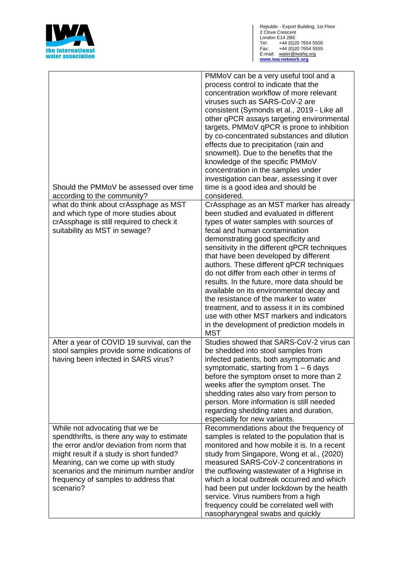

| Should the PMMoV be assessed over time<br>according to the community?                                                                                                                                                                                                                                        | PMMoV can be a very useful tool and a<br>process control to indicate that the<br>concentration workflow of more relevant<br>viruses such as SARS-CoV-2 are<br>consistent (Symonds et al., 2019 - Like all<br>other qPCR assays targeting environmental<br>targets, PMMoV qPCR is prone to inhibition<br>by co-concentrated substances and dilution<br>effects due to precipitation (rain and<br>snowmelt). Due to the benefits that the<br>knowledge of the specific PMMoV<br>concentration in the samples under<br>investigation can bear, assessing it over<br>time is a good idea and should be<br>considered.                                                                 |
|--------------------------------------------------------------------------------------------------------------------------------------------------------------------------------------------------------------------------------------------------------------------------------------------------------------|-----------------------------------------------------------------------------------------------------------------------------------------------------------------------------------------------------------------------------------------------------------------------------------------------------------------------------------------------------------------------------------------------------------------------------------------------------------------------------------------------------------------------------------------------------------------------------------------------------------------------------------------------------------------------------------|
| what do think about crAssphage as MST<br>and which type of more studies about<br>crAssphage is still required to check it<br>suitability as MST in sewage?                                                                                                                                                   | CrAssphage as an MST marker has already<br>been studied and evaluated in different<br>types of water samples with sources of<br>fecal and human contamination<br>demonstrating good specificity and<br>sensitivity in the different qPCR techniques<br>that have been developed by different<br>authors. These different qPCR techniques<br>do not differ from each other in terms of<br>results. In the future, more data should be<br>available on its environmental decay and<br>the resistance of the marker to water<br>treatment, and to assess it in its combined<br>use with other MST markers and indicators<br>in the development of prediction models in<br><b>MST</b> |
| After a year of COVID 19 survival, can the<br>stool samples provide some indications of<br>having been infected in SARS virus?                                                                                                                                                                               | Studies showed that SARS-CoV-2 virus can<br>be shedded into stool samples from<br>infected patients, both asymptomatic and<br>symptomatic, starting from $1 - 6$ days<br>before the symptom onset to more than 2<br>weeks after the symptom onset. The<br>shedding rates also vary from person to<br>person. More information is still needed<br>regarding shedding rates and duration,<br>especially for new variants.                                                                                                                                                                                                                                                           |
| While not advocating that we be<br>spendthrifts, is there any way to estimate<br>the error and/or deviation from norm that<br>might result if a study is short funded?<br>Meaning, can we come up with study<br>scenarios and the minimum number and/or<br>frequency of samples to address that<br>scenario? | Recommendations about the frequency of<br>samples is related to the population that is<br>monitored and how mobile it is. In a recent<br>study from Singapore, Wong et al., (2020)<br>measured SARS-CoV-2 concentrations in<br>the outflowing wastewater of a Highrise in<br>which a local outbreak occurred and which<br>had been put under lockdown by the health<br>service. Virus numbers from a high<br>frequency could be correlated well with<br>nasopharyngeal swabs and quickly                                                                                                                                                                                          |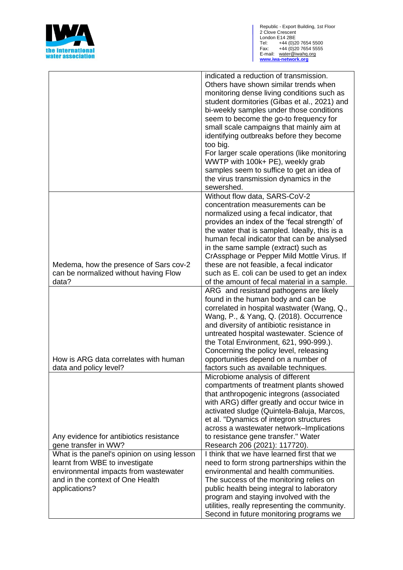

|                                                                                                                                                                             | indicated a reduction of transmission.<br>Others have shown similar trends when<br>monitoring dense living conditions such as<br>student dormitories (Gibas et al., 2021) and<br>bi-weekly samples under those conditions<br>seem to become the go-to frequency for<br>small scale campaigns that mainly aim at<br>identifying outbreaks before they become<br>too big.<br>For larger scale operations (like monitoring<br>WWTP with 100k+ PE), weekly grab<br>samples seem to suffice to get an idea of |
|-----------------------------------------------------------------------------------------------------------------------------------------------------------------------------|----------------------------------------------------------------------------------------------------------------------------------------------------------------------------------------------------------------------------------------------------------------------------------------------------------------------------------------------------------------------------------------------------------------------------------------------------------------------------------------------------------|
|                                                                                                                                                                             | the virus transmission dynamics in the<br>sewershed.                                                                                                                                                                                                                                                                                                                                                                                                                                                     |
| Medema, how the presence of Sars cov-2<br>can be normalized without having Flow<br>data?                                                                                    | Without flow data, SARS-CoV-2<br>concentration measurements can be<br>normalized using a fecal indicator, that<br>provides an index of the 'fecal strength' of<br>the water that is sampled. Ideally, this is a<br>human fecal indicator that can be analysed<br>in the same sample (extract) such as<br>CrAssphage or Pepper Mild Mottle Virus. If<br>these are not feasible, a fecal indicator<br>such as E. coli can be used to get an index<br>of the amount of fecal material in a sample.          |
|                                                                                                                                                                             | ARG and resistand pathogens are likely                                                                                                                                                                                                                                                                                                                                                                                                                                                                   |
| How is ARG data correlates with human<br>data and policy level?                                                                                                             | found in the human body and can be<br>correlated in hospital wastwater (Wang, Q.,<br>Wang, P., & Yang, Q. (2018). Occurrence<br>and diversity of antibiotic resistance in<br>untreated hospital wastewater. Science of<br>the Total Environment, 621, 990-999.).<br>Concerning the policy level, releasing<br>opportunities depend on a number of<br>factors such as available techniques.                                                                                                               |
|                                                                                                                                                                             | Microbiome analysis of different<br>compartments of treatment plants showed                                                                                                                                                                                                                                                                                                                                                                                                                              |
|                                                                                                                                                                             | that anthropogenic integrons (associated<br>with ARG) differ greatly and occur twice in<br>activated sludge (Quintela-Baluja, Marcos,<br>et al. "Dynamics of integron structures<br>across a wastewater network-Implications                                                                                                                                                                                                                                                                             |
| Any evidence for antibiotics resistance<br>gene transfer in WW?                                                                                                             | to resistance gene transfer." Water<br>Research 206 (2021): 117720).                                                                                                                                                                                                                                                                                                                                                                                                                                     |
| What is the panel's opinion on using lesson<br>learnt from WBE to investigate<br>environmental impacts from wastewater<br>and in the context of One Health<br>applications? | I think that we have learned first that we<br>need to form strong partnerships within the<br>environmental and health communities.<br>The success of the monitoring relies on<br>public health being integral to laboratory<br>program and staying involved with the<br>utilities, really representing the community.<br>Second in future monitoring programs we                                                                                                                                         |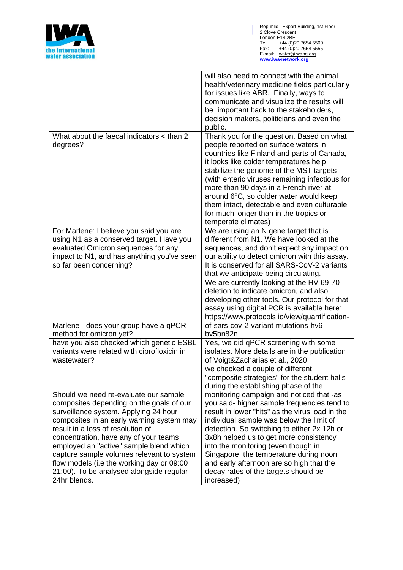

|                                                                                                                                                                                                                                                                                                                                                                                                                                                        | will also need to connect with the animal<br>health/veterinary medicine fields particularly<br>for issues like ABR. Finally, ways to<br>communicate and visualize the results will<br>be important back to the stakeholders,<br>decision makers, politicians and even the<br>public.                                                                                                                                                                                                                                                                                                           |
|--------------------------------------------------------------------------------------------------------------------------------------------------------------------------------------------------------------------------------------------------------------------------------------------------------------------------------------------------------------------------------------------------------------------------------------------------------|------------------------------------------------------------------------------------------------------------------------------------------------------------------------------------------------------------------------------------------------------------------------------------------------------------------------------------------------------------------------------------------------------------------------------------------------------------------------------------------------------------------------------------------------------------------------------------------------|
| What about the faecal indicators < than 2<br>degrees?                                                                                                                                                                                                                                                                                                                                                                                                  | Thank you for the question. Based on what<br>people reported on surface waters in<br>countries like Finland and parts of Canada,<br>it looks like colder temperatures help<br>stabilize the genome of the MST targets<br>(with enteric viruses remaining infectious for<br>more than 90 days in a French river at<br>around 6°C, so colder water would keep<br>them intact, detectable and even culturable<br>for much longer than in the tropics or<br>temperate climates)                                                                                                                    |
| For Marlene: I believe you said you are<br>using N1 as a conserved target. Have you<br>evaluated Omicron sequences for any<br>impact to N1, and has anything you've seen<br>so far been concerning?                                                                                                                                                                                                                                                    | We are using an N gene target that is<br>different from N1. We have looked at the<br>sequences, and don't expect any impact on<br>our ability to detect omicron with this assay.<br>It is conserved for all SARS-CoV-2 variants<br>that we anticipate being circulating.                                                                                                                                                                                                                                                                                                                       |
| Marlene - does your group have a qPCR<br>method for omicron yet?                                                                                                                                                                                                                                                                                                                                                                                       | We are currently looking at the HV 69-70<br>deletion to indicate omicron, and also<br>developing other tools. Our protocol for that<br>assay using digital PCR is available here:<br>https://www.protocols.io/view/quantification-<br>of-sars-cov-2-variant-mutations-hv6-<br>bv5bn82n                                                                                                                                                                                                                                                                                                         |
| have you also checked which genetic ESBL<br>variants were related with ciprofloxicin in<br>wastewater?                                                                                                                                                                                                                                                                                                                                                 | Yes, we did qPCR screening with some<br>isolates. More details are in the publication<br>of Voigt&Zacharias et al., 2020                                                                                                                                                                                                                                                                                                                                                                                                                                                                       |
| Should we need re-evaluate our sample<br>composites depending on the goals of our<br>surveillance system. Applying 24 hour<br>composites in an early warning system may<br>result in a loss of resolution of<br>concentration, have any of your teams<br>employed an "active" sample blend which<br>capture sample volumes relevant to system<br>flow models (i.e the working day or 09:00<br>21:00). To be analysed alongside regular<br>24hr blends. | we checked a couple of different<br>"composite strategies" for the student halls<br>during the establishing phase of the<br>monitoring campaign and noticed that -as<br>you said- higher sample frequencies tend to<br>result in lower "hits" as the virus load in the<br>individual sample was below the limit of<br>detection. So switching to either 2x 12h or<br>3x8h helped us to get more consistency<br>into the monitoring (even though in<br>Singapore, the temperature during noon<br>and early afternoon are so high that the<br>decay rates of the targets should be<br>increased) |